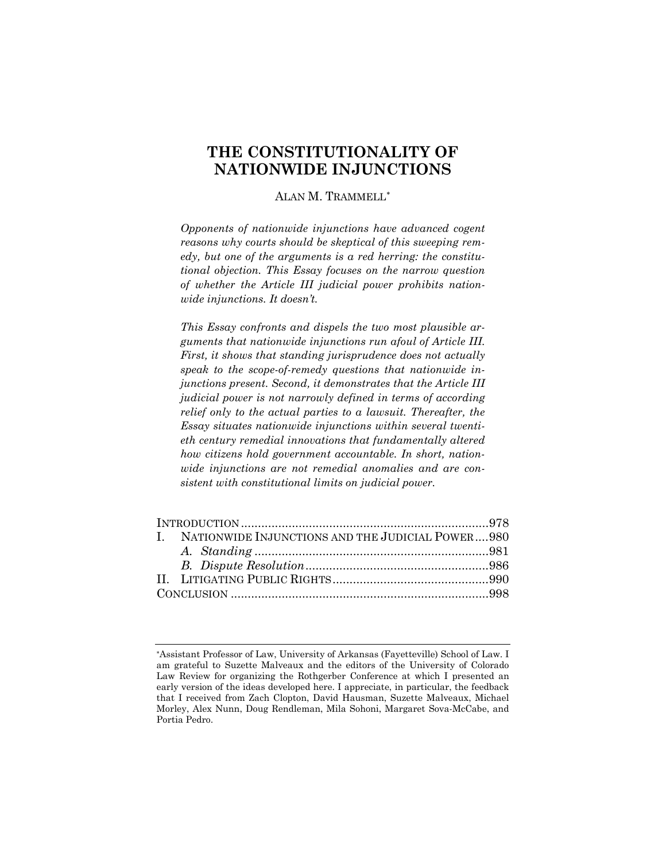# **THE CONSTITUTIONALITY OF NATIONWIDE INJUNCTIONS**

ALAN M. TRAMMELL[∗](#page-0-0)

*Opponents of nationwide injunctions have advanced cogent reasons why courts should be skeptical of this sweeping remedy, but one of the arguments is a red herring: the constitutional objection. This Essay focuses on the narrow question of whether the Article III judicial power prohibits nationwide injunctions. It doesn't.*

*This Essay confronts and dispels the two most plausible arguments that nationwide injunctions run afoul of Article III. First, it shows that standing jurisprudence does not actually speak to the scope-of-remedy questions that nationwide injunctions present. Second, it demonstrates that the Article III judicial power is not narrowly defined in terms of according relief only to the actual parties to a lawsuit. Thereafter, the Essay situates nationwide injunctions within several twentieth century remedial innovations that fundamentally altered how citizens hold government accountable. In short, nationwide injunctions are not remedial anomalies and are consistent with constitutional limits on judicial power.*

| I. NATIONWIDE INJUNCTIONS AND THE JUDICIAL POWER980 |  |
|-----------------------------------------------------|--|
|                                                     |  |
|                                                     |  |
|                                                     |  |
|                                                     |  |

<span id="page-0-0"></span><sup>∗</sup> Assistant Professor of Law, University of Arkansas (Fayetteville) School of Law. I am grateful to Suzette Malveaux and the editors of the University of Colorado Law Review for organizing the Rothgerber Conference at which I presented an early version of the ideas developed here. I appreciate, in particular, the feedback that I received from Zach Clopton, David Hausman, Suzette Malveaux, Michael Morley, Alex Nunn, Doug Rendleman, Mila Sohoni, Margaret Sova-McCabe, and Portia Pedro.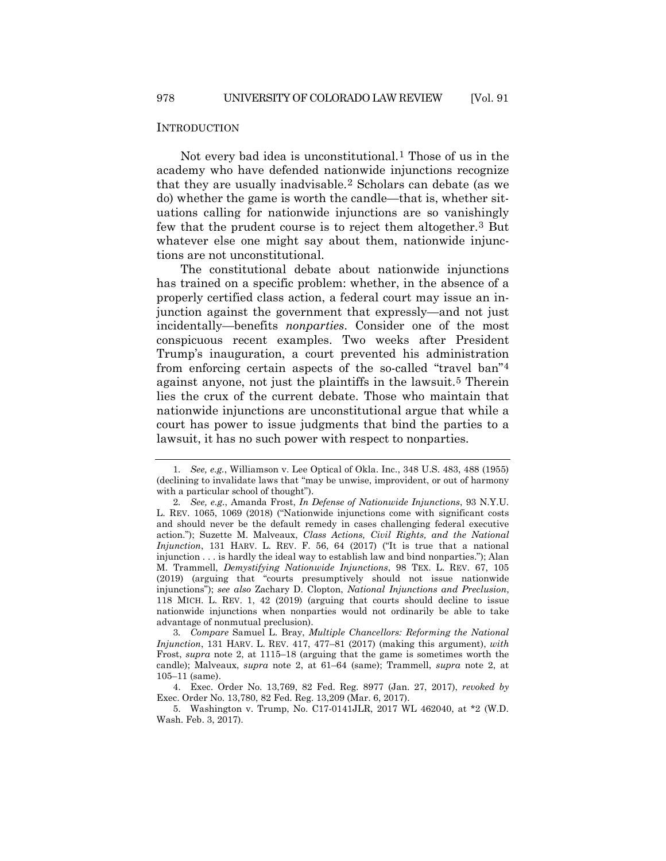#### INTRODUCTION

<span id="page-1-0"></span>Not every bad idea is unconstitutional.[1](#page-1-1) Those of us in the academy who have defended nationwide injunctions recognize that they are usually inadvisable.[2](#page-1-2) Scholars can debate (as we do) whether the game is worth the candle—that is, whether situations calling for nationwide injunctions are so vanishingly few that the prudent course is to reject them altogether.[3](#page-1-3) But whatever else one might say about them, nationwide injunctions are not unconstitutional.

<span id="page-1-6"></span>The constitutional debate about nationwide injunctions has trained on a specific problem: whether, in the absence of a properly certified class action, a federal court may issue an injunction against the government that expressly—and not just incidentally—benefits *nonparties*. Consider one of the most conspicuous recent examples. Two weeks after President Trump's inauguration, a court prevented his administration from enforcing certain aspects of the so-called "travel ban"[4](#page-1-4) against anyone, not just the plaintiffs in the lawsuit.[5](#page-1-5) Therein lies the crux of the current debate. Those who maintain that nationwide injunctions are unconstitutional argue that while a court has power to issue judgments that bind the parties to a lawsuit, it has no such power with respect to nonparties.

<span id="page-1-1"></span><sup>1</sup>*. See, e.g.*, Williamson v. Lee Optical of Okla. Inc., 348 U.S. 483, 488 (1955) (declining to invalidate laws that "may be unwise, improvident, or out of harmony with a particular school of thought").

<span id="page-1-2"></span><sup>2</sup>*. See, e.g.*, Amanda Frost, *In Defense of Nationwide Injunctions*, 93 N.Y.U. L. REV. 1065, 1069 (2018) ("Nationwide injunctions come with significant costs and should never be the default remedy in cases challenging federal executive action."); Suzette M. Malveaux, *Class Actions, Civil Rights, and the National Injunction*, 131 HARV. L. REV. F. 56, 64 (2017) ("It is true that a national injunction . . . is hardly the ideal way to establish law and bind nonparties."); Alan M. Trammell, *Demystifying Nationwide Injunctions*, 98 TEX. L. REV. 67, 105 (2019) (arguing that "courts presumptively should not issue nationwide injunctions"); *see also* Zachary D. Clopton, *National Injunctions and Preclusion*, 118 MICH. L. REV. 1, 42 (2019) (arguing that courts should decline to issue nationwide injunctions when nonparties would not ordinarily be able to take advantage of nonmutual preclusion).

<span id="page-1-3"></span><sup>3</sup>*. Compare* Samuel L. Bray, *Multiple Chancellors: Reforming the National Injunction*, 131 HARV. L. REV. 417, 477–81 (2017) (making this argument), *with*  Frost, *supra* note [2,](#page-1-0) at 1115–18 (arguing that the game is sometimes worth the candle); Malveaux, *supra* note [2,](#page-1-0) at 61–64 (same); Trammell, *supra* note [2,](#page-1-0) at 105–11 (same).

<span id="page-1-4"></span><sup>4.</sup> Exec. Order No. 13,769, 82 Fed. Reg. 8977 (Jan. 27, 2017), *revoked by* Exec. Order No. 13,780, 82 Fed. Reg. 13,209 (Mar. 6, 2017).

<span id="page-1-5"></span><sup>5.</sup> Washington v. Trump, No. C17-0141JLR, 2017 WL 462040, at \*2 (W.D. Wash. Feb. 3, 2017).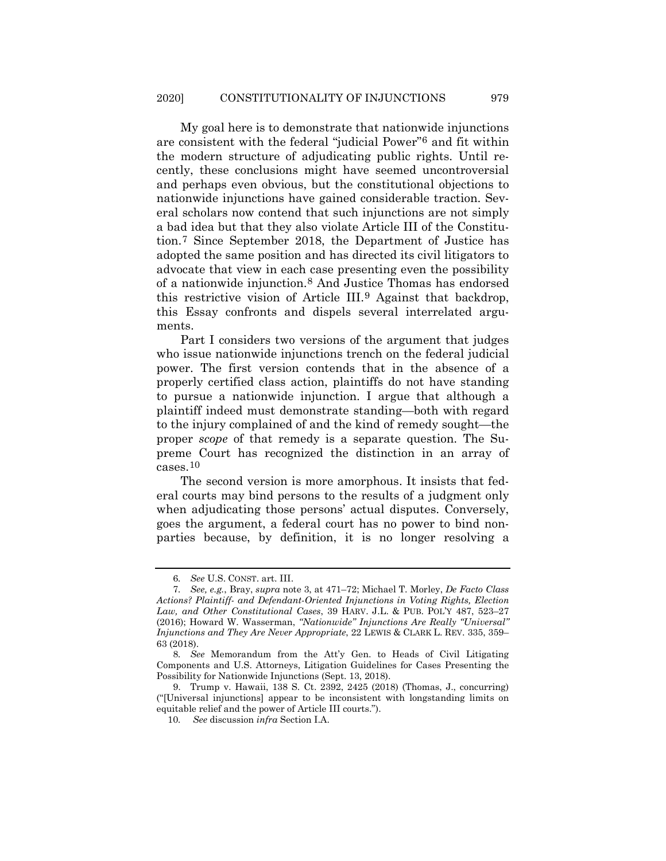My goal here is to demonstrate that nationwide injunctions are consistent with the federal "judicial Power"[6](#page-2-0) and fit within the modern structure of adjudicating public rights. Until recently, these conclusions might have seemed uncontroversial and perhaps even obvious, but the constitutional objections to nationwide injunctions have gained considerable traction. Several scholars now contend that such injunctions are not simply a bad idea but that they also violate Article III of the Constitution.[7](#page-2-1) Since September 2018, the Department of Justice has adopted the same position and has directed its civil litigators to advocate that view in each case presenting even the possibility of a nationwide injunction.[8](#page-2-2) And Justice Thomas has endorsed this restrictive vision of Article III.[9](#page-2-3) Against that backdrop, this Essay confronts and dispels several interrelated arguments.

<span id="page-2-5"></span>Part I considers two versions of the argument that judges who issue nationwide injunctions trench on the federal judicial power. The first version contends that in the absence of a properly certified class action, plaintiffs do not have standing to pursue a nationwide injunction. I argue that although a plaintiff indeed must demonstrate standing—both with regard to the injury complained of and the kind of remedy sought—the proper *scope* of that remedy is a separate question. The Supreme Court has recognized the distinction in an array of cases.[10](#page-2-4)

The second version is more amorphous. It insists that federal courts may bind persons to the results of a judgment only when adjudicating those persons' actual disputes. Conversely, goes the argument, a federal court has no power to bind nonparties because, by definition, it is no longer resolving a

<sup>6</sup>*. See* U.S. CONST. art. III.

<span id="page-2-1"></span><span id="page-2-0"></span><sup>7</sup>*. See, e.g.*, Bray, *supra* not[e 3,](#page-1-6) at 471–72; Michael T. Morley, *De Facto Class Actions? Plaintiff- and Defendant-Oriented Injunctions in Voting Rights, Election Law, and Other Constitutional Cases*, 39 HARV. J.L. & PUB. POL'Y 487, 523–27 (2016); Howard W. Wasserman, *"Nationwide" Injunctions Are Really "Universal" Injunctions and They Are Never Appropriate*, 22 LEWIS & CLARK L. REV. 335, 359– 63 (2018).

<span id="page-2-2"></span><sup>8</sup>*. See* Memorandum from the Att'y Gen. to Heads of Civil Litigating Components and U.S. Attorneys, Litigation Guidelines for Cases Presenting the Possibility for Nationwide Injunctions (Sept. 13, 2018).

<span id="page-2-4"></span><span id="page-2-3"></span><sup>9.</sup> Trump v. Hawaii, 138 S. Ct. 2392, 2425 (2018) (Thomas, J., concurring) ("[Universal injunctions] appear to be inconsistent with longstanding limits on equitable relief and the power of Article III courts.").

<sup>10</sup>*. See* discussion *infra* Section I.A.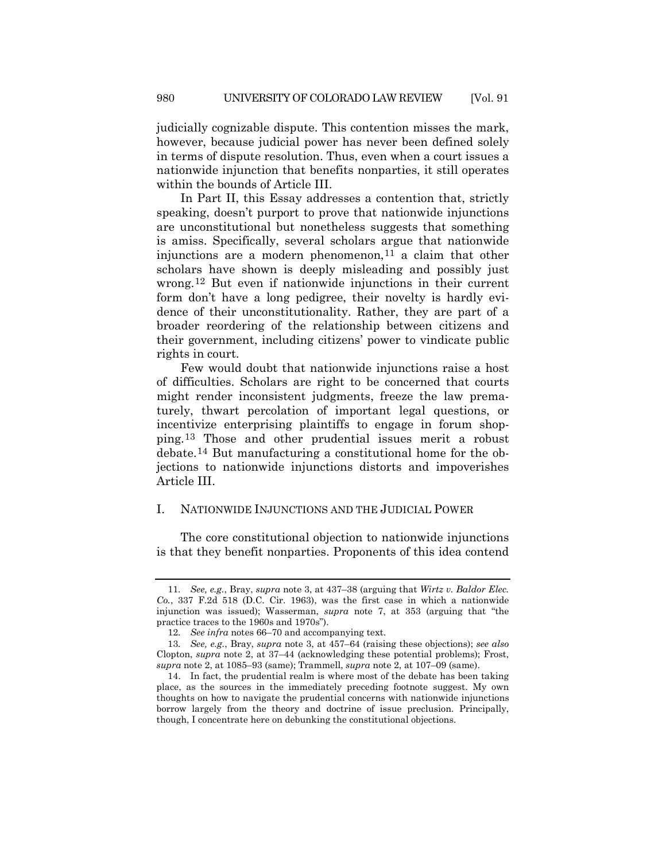judicially cognizable dispute. This contention misses the mark, however, because judicial power has never been defined solely in terms of dispute resolution. Thus, even when a court issues a nationwide injunction that benefits nonparties, it still operates within the bounds of Article III.

In Part II, this Essay addresses a contention that, strictly speaking, doesn't purport to prove that nationwide injunctions are unconstitutional but nonetheless suggests that something is amiss. Specifically, several scholars argue that nationwide injunctions are a modern phenomenon,  $11$  a claim that other scholars have shown is deeply misleading and possibly just wrong.[12](#page-3-1) But even if nationwide injunctions in their current form don't have a long pedigree, their novelty is hardly evidence of their unconstitutionality. Rather, they are part of a broader reordering of the relationship between citizens and their government, including citizens' power to vindicate public rights in court.

Few would doubt that nationwide injunctions raise a host of difficulties. Scholars are right to be concerned that courts might render inconsistent judgments, freeze the law prematurely, thwart percolation of important legal questions, or incentivize enterprising plaintiffs to engage in forum shopping.[13](#page-3-2) Those and other prudential issues merit a robust debate.[14](#page-3-3) But manufacturing a constitutional home for the objections to nationwide injunctions distorts and impoverishes Article III.

# I. NATIONWIDE INJUNCTIONS AND THE JUDICIAL POWER

The core constitutional objection to nationwide injunctions is that they benefit nonparties. Proponents of this idea contend

<span id="page-3-0"></span><sup>11</sup>*. See, e.g.*, Bray, *supra* note [3,](#page-1-6) at 437–38 (arguing that *Wirtz v. Baldor Elec. Co.*, 337 F.2d 518 (D.C. Cir. 1963), was the first case in which a nationwide injunction was issued); Wasserman, *supra* note 7, at 353 (arguing that "the practice traces to the 1960s and 1970s").

<sup>12</sup>*. See infra* notes 66–70 and accompanying text.

<span id="page-3-2"></span><span id="page-3-1"></span><sup>13</sup>*. See, e.g.*, Bray, *supra* note [3,](#page-1-6) at 457–64 (raising these objections); *see also*  Clopton, *supra* note [2,](#page-1-0) at 37–44 (acknowledging these potential problems); Frost, *supra* note [2,](#page-1-0) at 1085–93 (same); Trammell, *supra* note [2,](#page-1-0) at 107–09 (same).

<span id="page-3-3"></span><sup>14.</sup> In fact, the prudential realm is where most of the debate has been taking place, as the sources in the immediately preceding footnote suggest. My own thoughts on how to navigate the prudential concerns with nationwide injunctions borrow largely from the theory and doctrine of issue preclusion. Principally, though, I concentrate here on debunking the constitutional objections.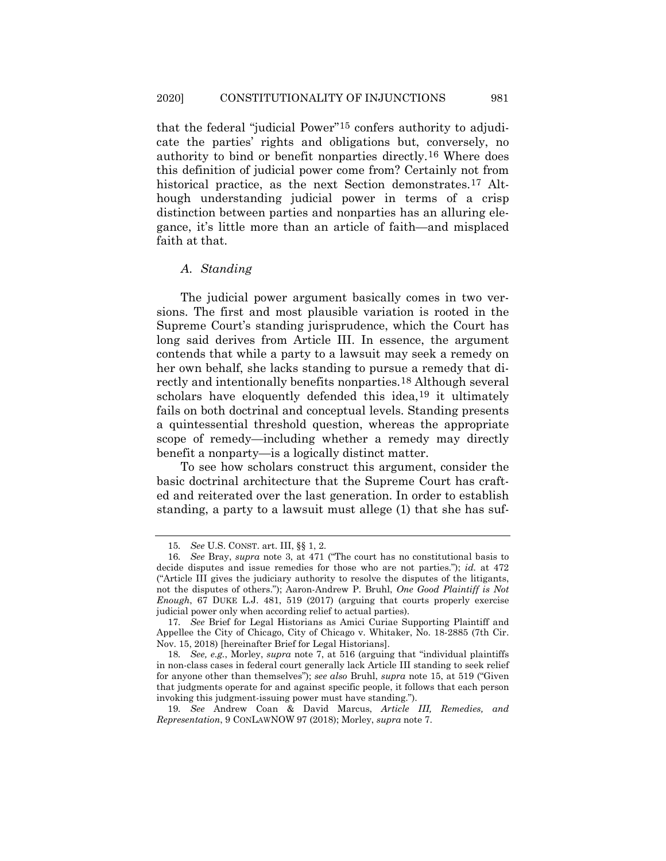<span id="page-4-6"></span>that the federal "judicial Power"[15](#page-4-0) confers authority to adjudicate the parties' rights and obligations but, conversely, no authority to bind or benefit nonparties directly.[16](#page-4-1) Where does this definition of judicial power come from? Certainly not from historical practice, as the next Section demonstrates.<sup>[17](#page-4-2)</sup> Although understanding judicial power in terms of a crisp distinction between parties and nonparties has an alluring elegance, it's little more than an article of faith—and misplaced faith at that.

### <span id="page-4-7"></span><span id="page-4-5"></span>*A. Standing*

The judicial power argument basically comes in two versions. The first and most plausible variation is rooted in the Supreme Court's standing jurisprudence, which the Court has long said derives from Article III. In essence, the argument contends that while a party to a lawsuit may seek a remedy on her own behalf, she lacks standing to pursue a remedy that directly and intentionally benefits nonparties.[18](#page-4-3) Although several scholars have eloquently defended this idea,<sup>[19](#page-4-4)</sup> it ultimately fails on both doctrinal and conceptual levels. Standing presents a quintessential threshold question, whereas the appropriate scope of remedy—including whether a remedy may directly benefit a nonparty—is a logically distinct matter.

To see how scholars construct this argument, consider the basic doctrinal architecture that the Supreme Court has crafted and reiterated over the last generation. In order to establish standing, a party to a lawsuit must allege (1) that she has suf-

<sup>15</sup>*. See* U.S. CONST. art. III, §§ 1, 2.

<span id="page-4-1"></span><span id="page-4-0"></span><sup>16</sup>*. See* Bray, *supra* note [3,](#page-1-6) at 471 ("The court has no constitutional basis to decide disputes and issue remedies for those who are not parties."); *id.* at 472 ("Article III gives the judiciary authority to resolve the disputes of the litigants, not the disputes of others."); Aaron-Andrew P. Bruhl, *One Good Plaintiff is Not Enough*, 67 DUKE L.J. 481, 519 (2017) (arguing that courts properly exercise judicial power only when according relief to actual parties).

<span id="page-4-2"></span><sup>17</sup>*. See* Brief for Legal Historians as Amici Curiae Supporting Plaintiff and Appellee the City of Chicago, City of Chicago v. Whitaker, No. 18-2885 (7th Cir. Nov. 15, 2018) [hereinafter Brief for Legal Historians].

<span id="page-4-3"></span><sup>18</sup>*. See, e.g.*, Morley, *supra* note [7,](#page-2-5) at 516 (arguing that "individual plaintiffs in non-class cases in federal court generally lack Article III standing to seek relief for anyone other than themselves"); *see also* Bruhl, *supra* note 15, at 519 ("Given that judgments operate for and against specific people, it follows that each person invoking this judgment-issuing power must have standing.").

<span id="page-4-4"></span><sup>19</sup>*. See* Andrew Coan & David Marcus, *Article III, Remedies, and Representation*, 9 CONLAWNOW 97 (2018); Morley, *supra* not[e 7.](#page-2-5)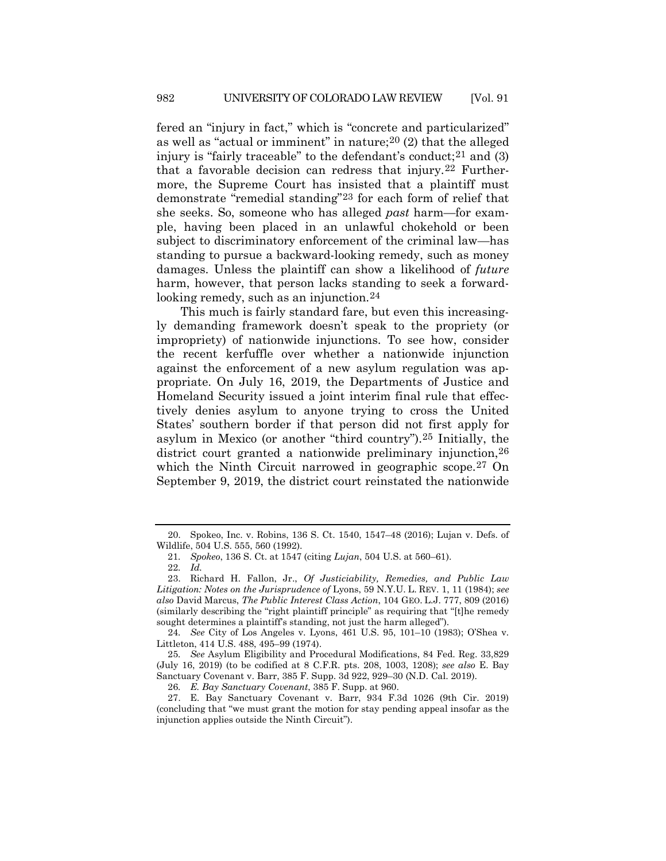<span id="page-5-8"></span>fered an "injury in fact," which is "concrete and particularized" as well as "actual or imminent" in nature;[20](#page-5-0) (2) that the alleged injury is "fairly traceable" to the defendant's conduct;  $21$  and (3) that a favorable decision can redress that injury.[22](#page-5-2) Furthermore, the Supreme Court has insisted that a plaintiff must demonstrate "remedial standing"[23](#page-5-3) for each form of relief that she seeks. So, someone who has alleged *past* harm—for example, having been placed in an unlawful chokehold or been subject to discriminatory enforcement of the criminal law—has standing to pursue a backward-looking remedy, such as money damages. Unless the plaintiff can show a likelihood of *future*  harm, however, that person lacks standing to seek a forward-looking remedy, such as an injunction.<sup>[24](#page-5-4)</sup>

This much is fairly standard fare, but even this increasingly demanding framework doesn't speak to the propriety (or impropriety) of nationwide injunctions. To see how, consider the recent kerfuffle over whether a nationwide injunction against the enforcement of a new asylum regulation was appropriate. On July 16, 2019, the Departments of Justice and Homeland Security issued a joint interim final rule that effectively denies asylum to anyone trying to cross the United States' southern border if that person did not first apply for asylum in Mexico (or another "third country").[25](#page-5-5) Initially, the district court granted a nationwide preliminary injunction,  $26$ which the Ninth Circuit narrowed in geographic scope.<sup>[27](#page-5-7)</sup> On September 9, 2019, the district court reinstated the nationwide

<span id="page-5-0"></span><sup>20.</sup> Spokeo, Inc. v. Robins, 136 S. Ct. 1540, 1547–48 (2016); Lujan v. Defs. of Wildlife, 504 U.S. 555, 560 (1992).

<sup>21</sup>*. Spokeo*, 136 S. Ct. at 1547 (citing *Lujan*, 504 U.S. at 560–61).

<sup>22</sup>*. Id.*

<span id="page-5-3"></span><span id="page-5-2"></span><span id="page-5-1"></span><sup>23.</sup> Richard H. Fallon, Jr., *Of Justiciability, Remedies, and Public Law Litigation: Notes on the Jurisprudence of* Lyons, 59 N.Y.U. L. REV. 1, 11 (1984); *see also* David Marcus, *The Public Interest Class Action*, 104 GEO. L.J. 777, 809 (2016) (similarly describing the "right plaintiff principle" as requiring that "[t]he remedy sought determines a plaintiff's standing, not just the harm alleged").

<span id="page-5-4"></span><sup>24</sup>*. See* City of Los Angeles v. Lyons, 461 U.S. 95, 101–10 (1983); O'Shea v. Littleton, 414 U.S. 488, 495–99 (1974).

<span id="page-5-5"></span><sup>25</sup>*. See* Asylum Eligibility and Procedural Modifications, 84 Fed. Reg. 33,829 (July 16, 2019) (to be codified at 8 C.F.R. pts. 208, 1003, 1208); *see also* E. Bay Sanctuary Covenant v. Barr, 385 F. Supp. 3d 922, 929–30 (N.D. Cal. 2019).

<sup>26</sup>*. E. Bay Sanctuary Covenant*, 385 F. Supp. at 960.

<span id="page-5-7"></span><span id="page-5-6"></span><sup>27.</sup> E. Bay Sanctuary Covenant v. Barr, 934 F.3d 1026 (9th Cir. 2019) (concluding that "we must grant the motion for stay pending appeal insofar as the injunction applies outside the Ninth Circuit").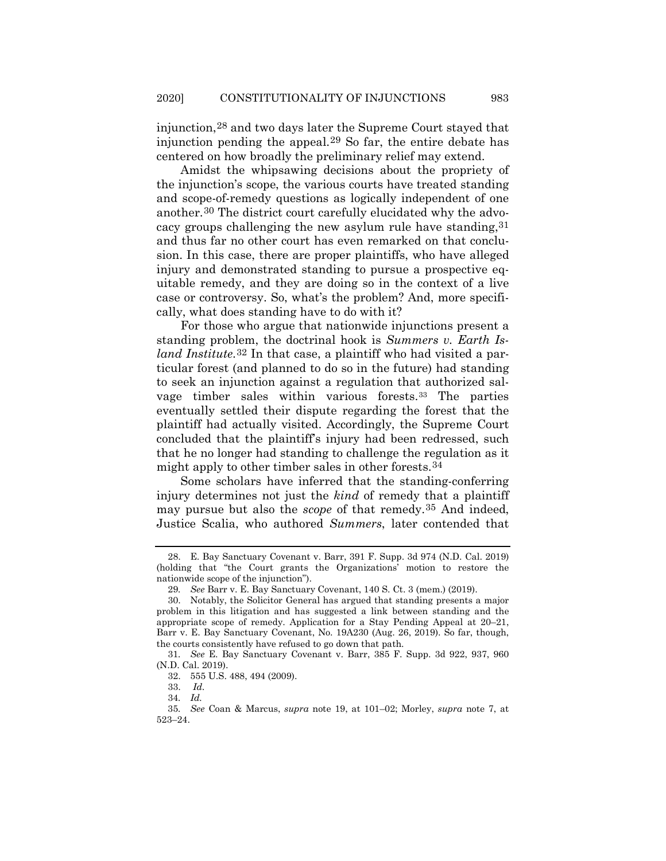injunction,[28](#page-6-0) and two days later the Supreme Court stayed that injunction pending the appeal.[29](#page-6-1) So far, the entire debate has centered on how broadly the preliminary relief may extend.

Amidst the whipsawing decisions about the propriety of the injunction's scope, the various courts have treated standing and scope-of-remedy questions as logically independent of one another.[30](#page-6-2) The district court carefully elucidated why the advocacy groups challenging the new asylum rule have standing[,31](#page-6-3) and thus far no other court has even remarked on that conclusion. In this case, there are proper plaintiffs, who have alleged injury and demonstrated standing to pursue a prospective equitable remedy, and they are doing so in the context of a live case or controversy. So, what's the problem? And, more specifically, what does standing have to do with it?

For those who argue that nationwide injunctions present a standing problem, the doctrinal hook is *Summers v. Earth Island Institute*.[32](#page-6-4) In that case, a plaintiff who had visited a particular forest (and planned to do so in the future) had standing to seek an injunction against a regulation that authorized salvage timber sales within various forests.[33](#page-6-5) The parties eventually settled their dispute regarding the forest that the plaintiff had actually visited. Accordingly, the Supreme Court concluded that the plaintiff's injury had been redressed, such that he no longer had standing to challenge the regulation as it might apply to other timber sales in other forests.[34](#page-6-6)

Some scholars have inferred that the standing-conferring injury determines not just the *kind* of remedy that a plaintiff may pursue but also the *scope* of that remedy.[35](#page-6-7) And indeed, Justice Scalia, who authored *Summers*, later contended that

<span id="page-6-0"></span><sup>28.</sup> E. Bay Sanctuary Covenant v. Barr, 391 F. Supp. 3d 974 (N.D. Cal. 2019) (holding that "the Court grants the Organizations' motion to restore the nationwide scope of the injunction").

<sup>29</sup>*. See* Barr v. E. Bay Sanctuary Covenant, 140 S. Ct. 3 (mem.) (2019).

<span id="page-6-2"></span><span id="page-6-1"></span><sup>30.</sup> Notably, the Solicitor General has argued that standing presents a major problem in this litigation and has suggested a link between standing and the appropriate scope of remedy. Application for a Stay Pending Appeal at 20–21, Barr v. E. Bay Sanctuary Covenant, No. 19A230 (Aug. 26, 2019). So far, though, the courts consistently have refused to go down that path.

<span id="page-6-4"></span><span id="page-6-3"></span><sup>31</sup>*. See* E. Bay Sanctuary Covenant v. Barr, 385 F. Supp. 3d 922, 937, 960 (N.D. Cal. 2019).

<sup>32.</sup> 555 U.S. 488, 494 (2009).

<sup>33.</sup> *Id.*

<sup>34</sup>*. Id.*

<span id="page-6-7"></span><span id="page-6-6"></span><span id="page-6-5"></span><sup>35</sup>*. See* Coan & Marcus, *supra* note [19,](#page-4-5) at 101–02; Morley, *supra* note [7,](#page-2-5) at 523–24.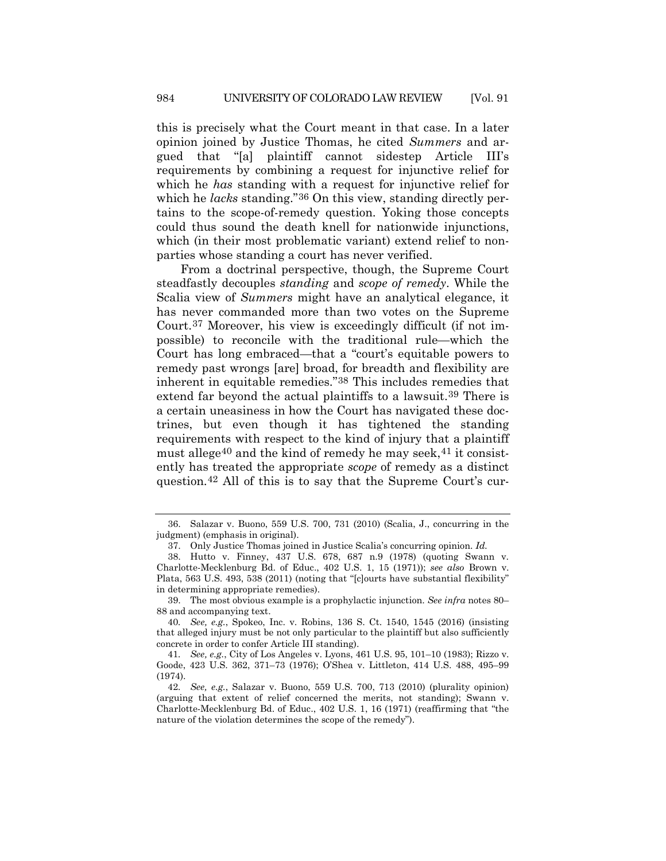this is precisely what the Court meant in that case. In a later opinion joined by Justice Thomas, he cited *Summers* and argued that "[a] plaintiff cannot sidestep Article III's requirements by combining a request for injunctive relief for which he *has* standing with a request for injunctive relief for which he *lacks* standing."<sup>36</sup> On this view, standing directly pertains to the scope-of-remedy question. Yoking those concepts could thus sound the death knell for nationwide injunctions, which (in their most problematic variant) extend relief to nonparties whose standing a court has never verified.

From a doctrinal perspective, though, the Supreme Court steadfastly decouples *standing* and *scope of remedy*. While the Scalia view of *Summers* might have an analytical elegance, it has never commanded more than two votes on the Supreme Court.[37](#page-7-1) Moreover, his view is exceedingly difficult (if not impossible) to reconcile with the traditional rule—which the Court has long embraced—that a "court's equitable powers to remedy past wrongs [are] broad, for breadth and flexibility are inherent in equitable remedies."[38](#page-7-2) This includes remedies that extend far beyond the actual plaintiffs to a lawsuit.<sup>[39](#page-7-3)</sup> There is a certain uneasiness in how the Court has navigated these doctrines, but even though it has tightened the standing requirements with respect to the kind of injury that a plaintiff must allege<sup>[40](#page-7-4)</sup> and the kind of remedy he may seek,  $41$  it consistently has treated the appropriate *scope* of remedy as a distinct question.[42](#page-7-6) All of this is to say that the Supreme Court's cur-

<span id="page-7-0"></span><sup>36.</sup> Salazar v. Buono, 559 U.S. 700, 731 (2010) (Scalia, J., concurring in the judgment) (emphasis in original).

<sup>37.</sup> Only Justice Thomas joined in Justice Scalia's concurring opinion. *Id.*

<span id="page-7-2"></span><span id="page-7-1"></span><sup>38.</sup> Hutto v. Finney, 437 U.S. 678, 687 n.9 (1978) (quoting Swann v. Charlotte-Mecklenburg Bd. of Educ., 402 U.S. 1, 15 (1971)); *see also* Brown v. Plata, 563 U.S. 493, 538 (2011) (noting that "[c]ourts have substantial flexibility" in determining appropriate remedies).

<span id="page-7-3"></span><sup>39.</sup> The most obvious example is a prophylactic injunction. *See infra* notes 80– 88 and accompanying text.

<span id="page-7-4"></span><sup>40</sup>*. See, e.g.*, Spokeo, Inc. v. Robins, 136 S. Ct. 1540, 1545 (2016) (insisting that alleged injury must be not only particular to the plaintiff but also sufficiently concrete in order to confer Article III standing).

<span id="page-7-5"></span><sup>41</sup>*. See, e.g.*, City of Los Angeles v. Lyons, 461 U.S. 95, 101–10 (1983); Rizzo v. Goode, 423 U.S. 362, 371–73 (1976); O'Shea v. Littleton, 414 U.S. 488, 495–99 (1974).

<span id="page-7-6"></span><sup>42</sup>*. See, e.g.*, Salazar v. Buono, 559 U.S. 700, 713 (2010) (plurality opinion) (arguing that extent of relief concerned the merits, not standing); Swann v. Charlotte-Mecklenburg Bd. of Educ., 402 U.S. 1, 16 (1971) (reaffirming that "the nature of the violation determines the scope of the remedy").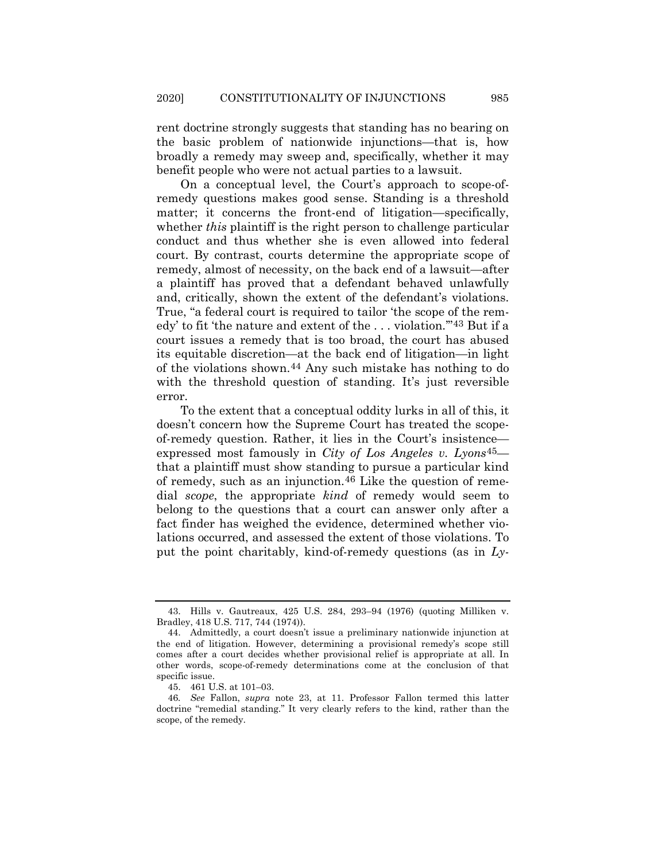rent doctrine strongly suggests that standing has no bearing on the basic problem of nationwide injunctions—that is, how broadly a remedy may sweep and, specifically, whether it may benefit people who were not actual parties to a lawsuit.

On a conceptual level, the Court's approach to scope-ofremedy questions makes good sense. Standing is a threshold matter; it concerns the front-end of litigation—specifically, whether *this* plaintiff is the right person to challenge particular conduct and thus whether she is even allowed into federal court. By contrast, courts determine the appropriate scope of remedy, almost of necessity, on the back end of a lawsuit—after a plaintiff has proved that a defendant behaved unlawfully and, critically, shown the extent of the defendant's violations. True, "a federal court is required to tailor 'the scope of the remedy' to fit 'the nature and extent of the . . . violation.'"[43](#page-8-0) But if a court issues a remedy that is too broad, the court has abused its equitable discretion—at the back end of litigation—in light of the violations shown.[44](#page-8-1) Any such mistake has nothing to do with the threshold question of standing. It's just reversible error.

To the extent that a conceptual oddity lurks in all of this, it doesn't concern how the Supreme Court has treated the scopeof-remedy question. Rather, it lies in the Court's insistence expressed most famously in *City of Los Angeles v. Lyons*[45](#page-8-2) that a plaintiff must show standing to pursue a particular kind of remedy, such as an injunction.[46](#page-8-3) Like the question of remedial *scope*, the appropriate *kind* of remedy would seem to belong to the questions that a court can answer only after a fact finder has weighed the evidence, determined whether violations occurred, and assessed the extent of those violations. To put the point charitably, kind-of-remedy questions (as in *Ly-*

<span id="page-8-0"></span><sup>43.</sup> Hills v. Gautreaux, 425 U.S. 284, 293–94 (1976) (quoting Milliken v. Bradley, 418 U.S. 717, 744 (1974)).

<span id="page-8-1"></span><sup>44.</sup> Admittedly, a court doesn't issue a preliminary nationwide injunction at the end of litigation. However, determining a provisional remedy's scope still comes after a court decides whether provisional relief is appropriate at all. In other words, scope-of-remedy determinations come at the conclusion of that specific issue.

<sup>45.</sup> 461 U.S. at 101–03.

<span id="page-8-3"></span><span id="page-8-2"></span><sup>46</sup>*. See* Fallon, *supra* note [23,](#page-5-8) at 11. Professor Fallon termed this latter doctrine "remedial standing." It very clearly refers to the kind, rather than the scope, of the remedy.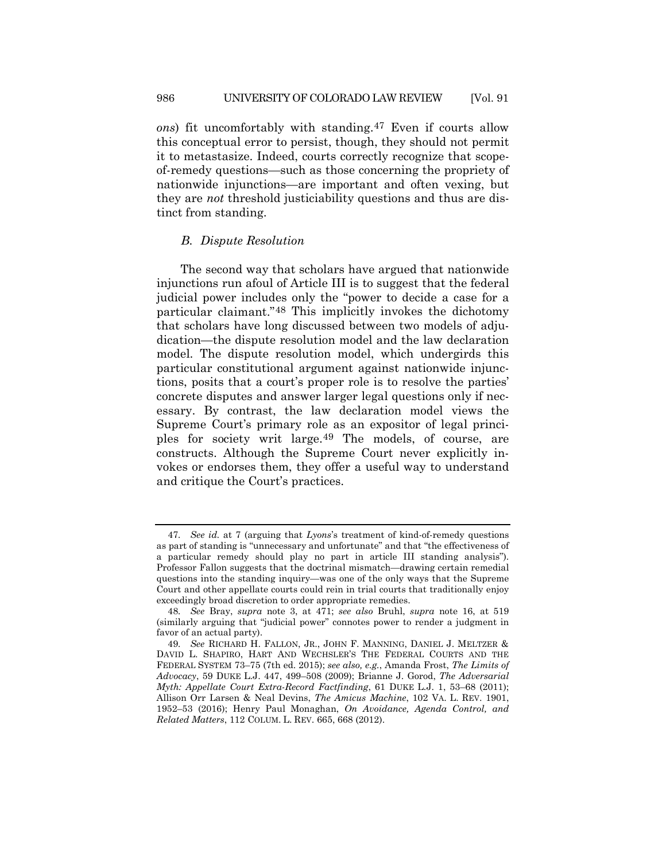*ons*) fit uncomfortably with standing.[47](#page-9-0) Even if courts allow this conceptual error to persist, though, they should not permit it to metastasize. Indeed, courts correctly recognize that scopeof-remedy questions—such as those concerning the propriety of nationwide injunctions—are important and often vexing, but they are *not* threshold justiciability questions and thus are distinct from standing.

#### *B. Dispute Resolution*

The second way that scholars have argued that nationwide injunctions run afoul of Article III is to suggest that the federal judicial power includes only the "power to decide a case for a particular claimant."[48](#page-9-1) This implicitly invokes the dichotomy that scholars have long discussed between two models of adjudication—the dispute resolution model and the law declaration model. The dispute resolution model, which undergirds this particular constitutional argument against nationwide injunctions, posits that a court's proper role is to resolve the parties' concrete disputes and answer larger legal questions only if necessary. By contrast, the law declaration model views the Supreme Court's primary role as an expositor of legal principles for society writ large.[49](#page-9-2) The models, of course, are constructs. Although the Supreme Court never explicitly invokes or endorses them, they offer a useful way to understand and critique the Court's practices.

<span id="page-9-0"></span><sup>47</sup>*. See id.* at 7 (arguing that *Lyons*'s treatment of kind-of-remedy questions as part of standing is "unnecessary and unfortunate" and that "the effectiveness of a particular remedy should play no part in article III standing analysis"). Professor Fallon suggests that the doctrinal mismatch—drawing certain remedial questions into the standing inquiry—was one of the only ways that the Supreme Court and other appellate courts could rein in trial courts that traditionally enjoy exceedingly broad discretion to order appropriate remedies.

<span id="page-9-1"></span><sup>48</sup>*. See* Bray, *supra* note [3,](#page-1-6) at 471; *see also* Bruhl, *supra* note [16,](#page-4-6) at 519 (similarly arguing that "judicial power" connotes power to render a judgment in favor of an actual party).

<span id="page-9-2"></span><sup>49</sup>*. See* RICHARD H. FALLON, JR., JOHN F. MANNING, DANIEL J. MELTZER & DAVID L. SHAPIRO, HART AND WECHSLER'S THE FEDERAL COURTS AND THE FEDERAL SYSTEM 73–75 (7th ed. 2015); *see also, e.g.*, Amanda Frost, *The Limits of Advocacy*, 59 DUKE L.J. 447, 499–508 (2009); Brianne J. Gorod, *The Adversarial Myth: Appellate Court Extra-Record Factfinding*, 61 DUKE L.J. 1, 53–68 (2011); Allison Orr Larsen & Neal Devins, *The Amicus Machine*, 102 VA. L. REV. 1901, 1952–53 (2016); Henry Paul Monaghan, *On Avoidance, Agenda Control, and Related Matters*, 112 COLUM. L. REV. 665, 668 (2012).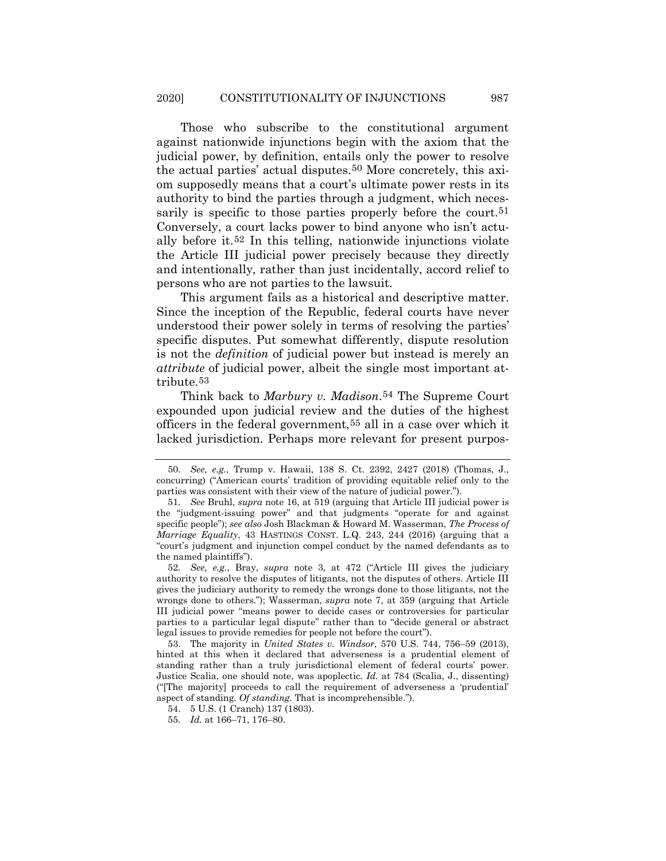<span id="page-10-6"></span>Those who subscribe to the constitutional argument against nationwide injunctions begin with the axiom that the judicial power, by definition, entails only the power to resolve the actual parties' actual disputes.[50](#page-10-0) More concretely, this axiom supposedly means that a court's ultimate power rests in its authority to bind the parties through a judgment, which necessarily is specific to those parties properly before the court.<sup>51</sup> Conversely, a court lacks power to bind anyone who isn't actually before it.[52](#page-10-2) In this telling, nationwide injunctions violate the Article III judicial power precisely because they directly and intentionally, rather than just incidentally, accord relief to persons who are not parties to the lawsuit.

This argument fails as a historical and descriptive matter. Since the inception of the Republic, federal courts have never understood their power solely in terms of resolving the parties' specific disputes. Put somewhat differently, dispute resolution is not the *definition* of judicial power but instead is merely an *attribute* of judicial power, albeit the single most important attribute.[53](#page-10-3)

Think back to *Marbury v. Madison*.[54](#page-10-4) The Supreme Court expounded upon judicial review and the duties of the highest officers in the federal government,[55](#page-10-5) all in a case over which it lacked jurisdiction. Perhaps more relevant for present purpos-

<span id="page-10-0"></span><sup>50</sup>*. See, e.g.*, Trump v. Hawaii, 138 S. Ct. 2392, 2427 (2018) (Thomas, J., concurring) ("American courts' tradition of providing equitable relief only to the parties was consistent with their view of the nature of judicial power.").

<span id="page-10-1"></span><sup>51</sup>*. See* Bruhl, *supra* not[e 16,](#page-4-6) at 519 (arguing that Article III judicial power is the "judgment-issuing power" and that judgments "operate for and against specific people"); *see also* Josh Blackman & Howard M. Wasserman, *The Process of Marriage Equality*, 43 HASTINGS CONST. L.Q. 243, 244 (2016) (arguing that a "court's judgment and injunction compel conduct by the named defendants as to the named plaintiffs").

<span id="page-10-2"></span><sup>52</sup>*. See, e.g.*, Bray, *supra* note [3,](#page-1-6) at 472 ("Article III gives the judiciary authority to resolve the disputes of litigants, not the disputes of others. Article III gives the judiciary authority to remedy the wrongs done to those litigants, not the wrongs done to others."); Wasserman, *supra* note [7,](#page-2-5) at 359 (arguing that Article III judicial power "means power to decide cases or controversies for particular parties to a particular legal dispute" rather than to "decide general or abstract legal issues to provide remedies for people not before the court").

<span id="page-10-3"></span><sup>53.</sup> The majority in *United States v. Windsor*, 570 U.S. 744, 756–59 (2013), hinted at this when it declared that adverseness is a prudential element of standing rather than a truly jurisdictional element of federal courts' power. Justice Scalia, one should note, was apoplectic. *Id.* at 784 (Scalia, J., dissenting) ("[The majority] proceeds to call the requirement of adverseness a 'prudential' aspect of standing. *Of standing*. That is incomprehensible.").

<span id="page-10-5"></span><span id="page-10-4"></span><sup>54.</sup> 5 U.S. (1 Cranch) 137 (1803).

<sup>55</sup>*. Id.* at 166–71, 176–80.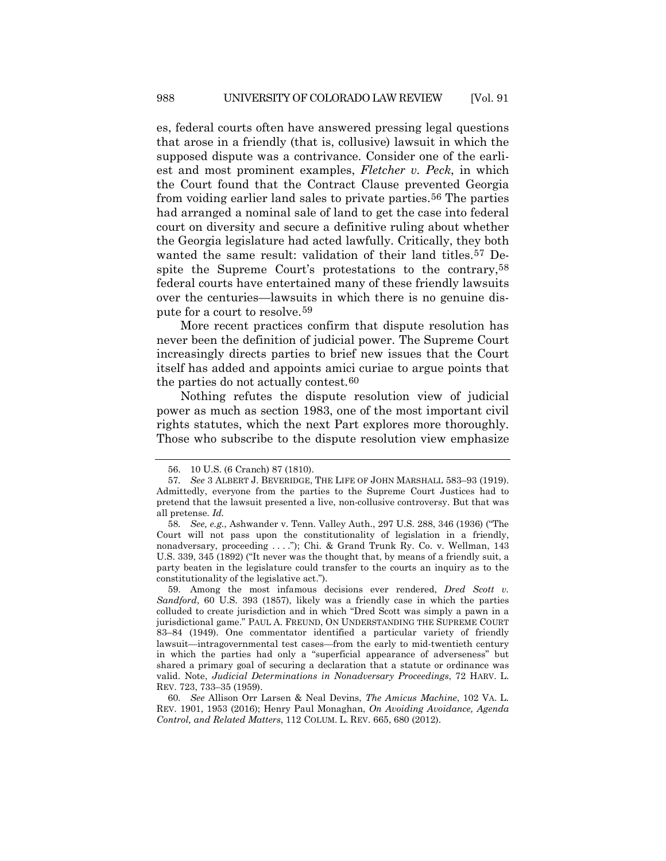es, federal courts often have answered pressing legal questions that arose in a friendly (that is, collusive) lawsuit in which the supposed dispute was a contrivance. Consider one of the earliest and most prominent examples, *Fletcher v. Peck*, in which the Court found that the Contract Clause prevented Georgia from voiding earlier land sales to private parties.<sup>[56](#page-11-0)</sup> The parties had arranged a nominal sale of land to get the case into federal court on diversity and secure a definitive ruling about whether the Georgia legislature had acted lawfully. Critically, they both wanted the same result: validation of their land titles.[57](#page-11-1) Despite the Supreme Court's protestations to the contrary[,58](#page-11-2) federal courts have entertained many of these friendly lawsuits over the centuries—lawsuits in which there is no genuine dispute for a court to resolve.[59](#page-11-3)

More recent practices confirm that dispute resolution has never been the definition of judicial power. The Supreme Court increasingly directs parties to brief new issues that the Court itself has added and appoints amici curiae to argue points that the parties do not actually contest.[60](#page-11-4)

Nothing refutes the dispute resolution view of judicial power as much as section 1983, one of the most important civil rights statutes, which the next Part explores more thoroughly. Those who subscribe to the dispute resolution view emphasize

<sup>56.</sup> 10 U.S. (6 Cranch) 87 (1810).

<span id="page-11-1"></span><span id="page-11-0"></span><sup>57</sup>*. See* 3 ALBERT J. BEVERIDGE, THE LIFE OF JOHN MARSHALL 583–93 (1919). Admittedly, everyone from the parties to the Supreme Court Justices had to pretend that the lawsuit presented a live, non-collusive controversy. But that was all pretense. *Id.*

<span id="page-11-2"></span><sup>58</sup>*. See, e.g.*, Ashwander v. Tenn. Valley Auth., 297 U.S. 288, 346 (1936) ("The Court will not pass upon the constitutionality of legislation in a friendly, nonadversary, proceeding . . . ."); Chi. & Grand Trunk Ry. Co. v. Wellman, 143 U.S. 339, 345 (1892) ("It never was the thought that, by means of a friendly suit, a party beaten in the legislature could transfer to the courts an inquiry as to the constitutionality of the legislative act.").

<span id="page-11-3"></span><sup>59.</sup> Among the most infamous decisions ever rendered, *Dred Scott v. Sandford*, 60 U.S. 393 (1857), likely was a friendly case in which the parties colluded to create jurisdiction and in which "Dred Scott was simply a pawn in a jurisdictional game." PAUL A. FREUND, ON UNDERSTANDING THE SUPREME COURT 83–84 (1949). One commentator identified a particular variety of friendly lawsuit—intragovernmental test cases—from the early to mid-twentieth century in which the parties had only a "superficial appearance of adverseness" but shared a primary goal of securing a declaration that a statute or ordinance was valid. Note, *Judicial Determinations in Nonadversary Proceedings*, 72 HARV. L. REV. 723, 733–35 (1959).

<span id="page-11-4"></span><sup>60</sup>*. See* Allison Orr Larsen & Neal Devins, *The Amicus Machine*, 102 VA. L. REV. 1901, 1953 (2016); Henry Paul Monaghan, *On Avoiding Avoidance, Agenda Control, and Related Matters*, 112 COLUM. L. REV. 665, 680 (2012).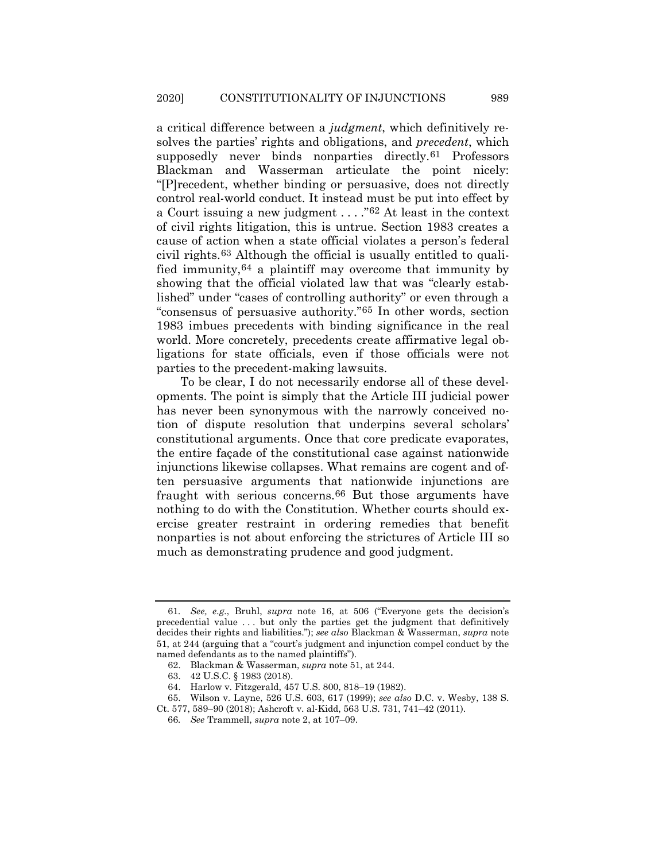a critical difference between a *judgment*, which definitively resolves the parties' rights and obligations, and *precedent*, which supposedly never binds nonparties directly.<sup>[61](#page-12-0)</sup> Professors Blackman and Wasserman articulate the point nicely: "[P]recedent, whether binding or persuasive, does not directly control real-world conduct. It instead must be put into effect by a Court issuing a new judgment . . . ."[62](#page-12-1) At least in the context of civil rights litigation, this is untrue. Section 1983 creates a cause of action when a state official violates a person's federal civil rights.[63](#page-12-2) Although the official is usually entitled to qualified immunity,[64](#page-12-3) a plaintiff may overcome that immunity by showing that the official violated law that was "clearly established" under "cases of controlling authority" or even through a "consensus of persuasive authority."[65](#page-12-4) In other words, section 1983 imbues precedents with binding significance in the real world. More concretely, precedents create affirmative legal obligations for state officials, even if those officials were not parties to the precedent-making lawsuits.

To be clear, I do not necessarily endorse all of these developments. The point is simply that the Article III judicial power has never been synonymous with the narrowly conceived notion of dispute resolution that underpins several scholars' constitutional arguments. Once that core predicate evaporates, the entire façade of the constitutional case against nationwide injunctions likewise collapses. What remains are cogent and often persuasive arguments that nationwide injunctions are fraught with serious concerns.[66](#page-12-5) But those arguments have nothing to do with the Constitution. Whether courts should exercise greater restraint in ordering remedies that benefit nonparties is not about enforcing the strictures of Article III so much as demonstrating prudence and good judgment.

<span id="page-12-0"></span><sup>61</sup>*. See, e.g.*, Bruhl, *supra* note [16,](#page-4-6) at 506 ("Everyone gets the decision's precedential value . . . but only the parties get the judgment that definitively decides their rights and liabilities."); *see also* Blackman & Wasserman, *supra* note [51,](#page-10-6) at 244 (arguing that a "court's judgment and injunction compel conduct by the named defendants as to the named plaintiffs").

<sup>62.</sup> Blackman & Wasserman, *supra* note [51,](#page-10-6) at 244.

<sup>63.</sup> 42 U.S.C. § 1983 (2018).

<sup>64.</sup> Harlow v. Fitzgerald, 457 U.S. 800, 818–19 (1982).

<span id="page-12-5"></span><span id="page-12-4"></span><span id="page-12-3"></span><span id="page-12-2"></span><span id="page-12-1"></span><sup>65.</sup> Wilson v. Layne, 526 U.S. 603, 617 (1999); *see also* D.C. v. Wesby, 138 S. Ct. 577, 589–90 (2018); Ashcroft v. al-Kidd, 563 U.S. 731, 741–42 (2011).

<sup>66</sup>*. See* Trammell, *supra* not[e 2,](#page-1-0) at 107–09.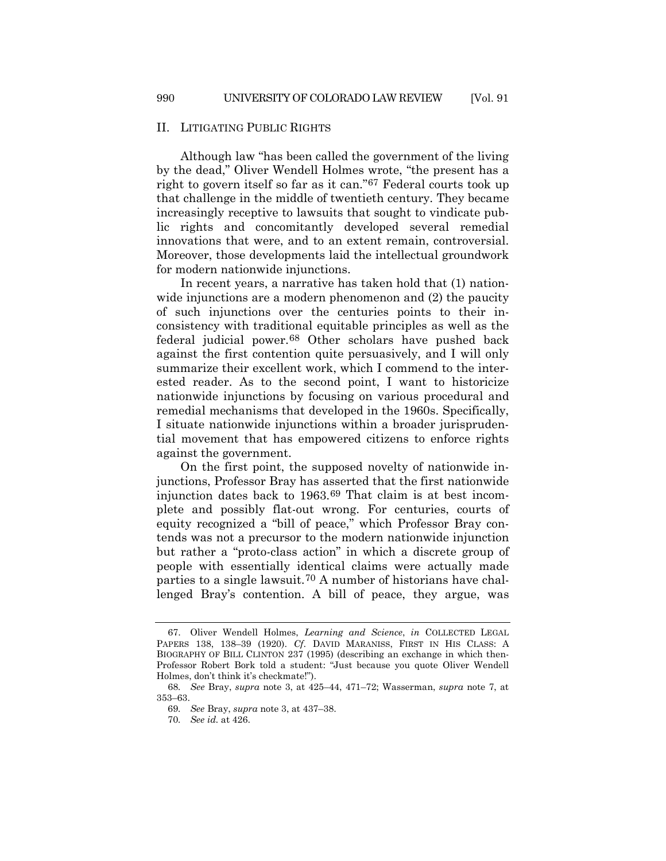# II. LITIGATING PUBLIC RIGHTS

Although law "has been called the government of the living by the dead," Oliver Wendell Holmes wrote, "the present has a right to govern itself so far as it can.["67](#page-13-0) Federal courts took up that challenge in the middle of twentieth century. They became increasingly receptive to lawsuits that sought to vindicate public rights and concomitantly developed several remedial innovations that were, and to an extent remain, controversial. Moreover, those developments laid the intellectual groundwork for modern nationwide injunctions.

In recent years, a narrative has taken hold that (1) nationwide injunctions are a modern phenomenon and (2) the paucity of such injunctions over the centuries points to their inconsistency with traditional equitable principles as well as the federal judicial power.[68](#page-13-1) Other scholars have pushed back against the first contention quite persuasively, and I will only summarize their excellent work, which I commend to the interested reader. As to the second point, I want to historicize nationwide injunctions by focusing on various procedural and remedial mechanisms that developed in the 1960s. Specifically, I situate nationwide injunctions within a broader jurisprudential movement that has empowered citizens to enforce rights against the government.

On the first point, the supposed novelty of nationwide injunctions, Professor Bray has asserted that the first nationwide injunction dates back to 1963.[69](#page-13-2) That claim is at best incomplete and possibly flat-out wrong. For centuries, courts of equity recognized a "bill of peace," which Professor Bray contends was not a precursor to the modern nationwide injunction but rather a "proto-class action" in which a discrete group of people with essentially identical claims were actually made parties to a single lawsuit.[70](#page-13-3) A number of historians have challenged Bray's contention. A bill of peace, they argue, was

<span id="page-13-0"></span><sup>67.</sup> Oliver Wendell Holmes, *Learning and Science*, *in* COLLECTED LEGAL PAPERS 138, 138–39 (1920). *Cf*. DAVID MARANISS, FIRST IN HIS CLASS: A BIOGRAPHY OF BILL CLINTON 237 (1995) (describing an exchange in which then-Professor Robert Bork told a student: "Just because you quote Oliver Wendell Holmes, don't think it's checkmate!").

<span id="page-13-3"></span><span id="page-13-2"></span><span id="page-13-1"></span><sup>68</sup>*. See* Bray, *supra* note [3,](#page-1-6) at 425–44, 471–72; Wasserman, *supra* note [7,](#page-2-5) at 353–63.

<sup>69</sup>*. See* Bray, *supra* not[e 3,](#page-1-6) at 437–38.

<sup>70</sup>*. See id.* at 426.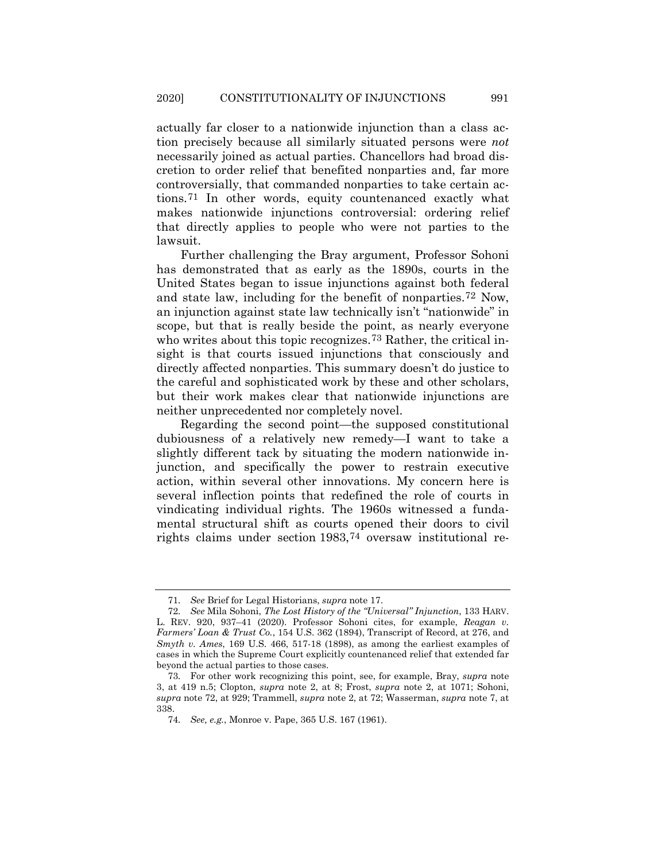actually far closer to a nationwide injunction than a class action precisely because all similarly situated persons were *not*  necessarily joined as actual parties. Chancellors had broad discretion to order relief that benefited nonparties and, far more controversially, that commanded nonparties to take certain actions.[71](#page-14-1) In other words, equity countenanced exactly what makes nationwide injunctions controversial: ordering relief that directly applies to people who were not parties to the lawsuit.

<span id="page-14-0"></span>Further challenging the Bray argument, Professor Sohoni has demonstrated that as early as the 1890s, courts in the United States began to issue injunctions against both federal and state law, including for the benefit of nonparties.[72](#page-14-2) Now, an injunction against state law technically isn't "nationwide" in scope, but that is really beside the point, as nearly everyone who writes about this topic recognizes.<sup>[73](#page-14-3)</sup> Rather, the critical insight is that courts issued injunctions that consciously and directly affected nonparties. This summary doesn't do justice to the careful and sophisticated work by these and other scholars, but their work makes clear that nationwide injunctions are neither unprecedented nor completely novel.

Regarding the second point—the supposed constitutional dubiousness of a relatively new remedy—I want to take a slightly different tack by situating the modern nationwide injunction, and specifically the power to restrain executive action, within several other innovations. My concern here is several inflection points that redefined the role of courts in vindicating individual rights. The 1960s witnessed a fundamental structural shift as courts opened their doors to civil rights claims under section 1983,[74](#page-14-4) oversaw institutional re-

<sup>71</sup>*. See* Brief for Legal Historians, *supra* not[e 17.](#page-4-7)

<span id="page-14-2"></span><span id="page-14-1"></span><sup>72</sup>*. See* Mila Sohoni, *The Lost History of the "Universal" Injunction*, 133 HARV. L. REV. 920, 937–41 (2020). Professor Sohoni cites, for example, *Reagan v. Farmers' Loan & Trust Co.*, 154 U.S. 362 (1894), Transcript of Record, at 276, and *Smyth v. Ames*, 169 U.S. 466, 517-18 (1898), as among the earliest examples of cases in which the Supreme Court explicitly countenanced relief that extended far beyond the actual parties to those cases.

<span id="page-14-4"></span><span id="page-14-3"></span><sup>73</sup>*.* For other work recognizing this point, see, for example, Bray, *supra* note [3,](#page-1-6) at 419 n.5; Clopton, *supra* note 2, at 8; Frost, *supra* note 2, at 1071; Sohoni, *supra* not[e 72,](#page-14-0) at 929; Trammell, *supra* note 2, at 72; Wasserman, *supra* note 7, at 338.

<sup>74</sup>*. See, e.g.*, Monroe v. Pape, 365 U.S. 167 (1961).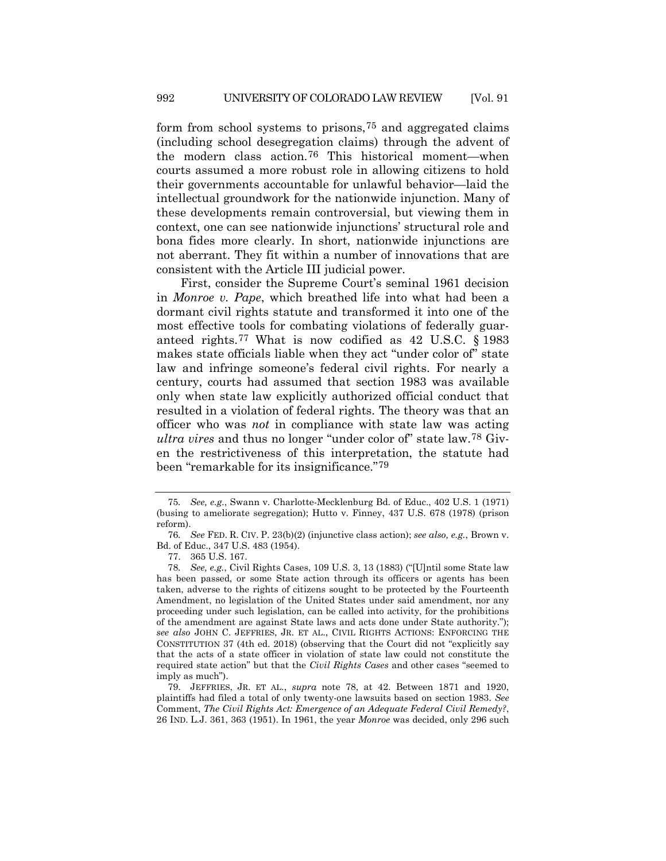form from school systems to prisons,[75](#page-15-1) and aggregated claims (including school desegregation claims) through the advent of the modern class action.[76](#page-15-2) This historical moment—when courts assumed a more robust role in allowing citizens to hold their governments accountable for unlawful behavior—laid the intellectual groundwork for the nationwide injunction. Many of these developments remain controversial, but viewing them in context, one can see nationwide injunctions' structural role and bona fides more clearly. In short, nationwide injunctions are not aberrant. They fit within a number of innovations that are consistent with the Article III judicial power.

First, consider the Supreme Court's seminal 1961 decision in *Monroe v. Pape*, which breathed life into what had been a dormant civil rights statute and transformed it into one of the most effective tools for combating violations of federally guaranteed rights.[77](#page-15-3) What is now codified as 42 U.S.C. § 1983 makes state officials liable when they act "under color of" state law and infringe someone's federal civil rights. For nearly a century, courts had assumed that section 1983 was available only when state law explicitly authorized official conduct that resulted in a violation of federal rights. The theory was that an officer who was *not* in compliance with state law was acting *ultra vires* and thus no longer "under color of" state law[.78](#page-15-4) Given the restrictiveness of this interpretation, the statute had been "remarkable for its insignificance."[79](#page-15-5)

<span id="page-15-1"></span><span id="page-15-0"></span><sup>75</sup>*. See, e.g.*, Swann v. Charlotte-Mecklenburg Bd. of Educ., 402 U.S. 1 (1971) (busing to ameliorate segregation); Hutto v. Finney, 437 U.S. 678 (1978) (prison reform).

<span id="page-15-2"></span><sup>76</sup>*. See* FED. R. CIV. P. 23(b)(2) (injunctive class action); *see also, e.g.*, Brown v. Bd. of Educ., 347 U.S. 483 (1954).

<sup>77.</sup> 365 U.S. 167.

<span id="page-15-4"></span><span id="page-15-3"></span><sup>78</sup>*. See, e.g.*, Civil Rights Cases, 109 U.S. 3, 13 (1883) ("[U]ntil some State law has been passed, or some State action through its officers or agents has been taken, adverse to the rights of citizens sought to be protected by the Fourteenth Amendment, no legislation of the United States under said amendment, nor any proceeding under such legislation, can be called into activity, for the prohibitions of the amendment are against State laws and acts done under State authority."); *see also* JOHN C. JEFFRIES, JR. ET AL., CIVIL RIGHTS ACTIONS: ENFORCING THE CONSTITUTION 37 (4th ed. 2018) (observing that the Court did not "explicitly say that the acts of a state officer in violation of state law could not constitute the required state action" but that the *Civil Rights Cases* and other cases "seemed to imply as much").

<span id="page-15-5"></span><sup>79.</sup> JEFFRIES, JR. ET AL., *supra* note [78,](#page-15-0) at 42. Between 1871 and 1920, plaintiffs had filed a total of only twenty-one lawsuits based on section 1983. *See*  Comment, *The Civil Rights Act: Emergence of an Adequate Federal Civil Remedy?*, 26 IND. L.J. 361, 363 (1951). In 1961, the year *Monroe* was decided, only 296 such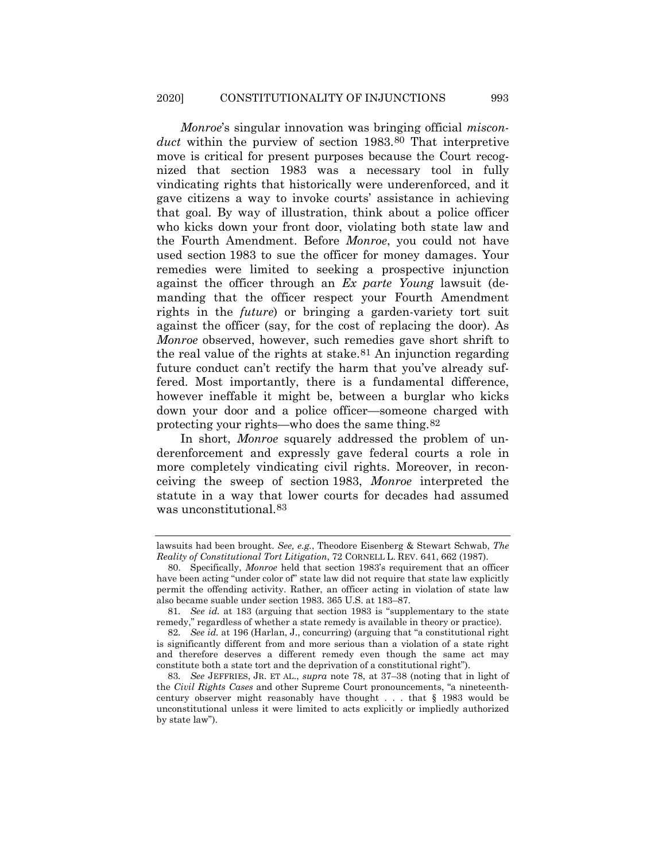*Monroe*'s singular innovation was bringing official *misconduct* within the purview of section 1983.[80](#page-16-0) That interpretive move is critical for present purposes because the Court recognized that section 1983 was a necessary tool in fully vindicating rights that historically were underenforced, and it gave citizens a way to invoke courts' assistance in achieving that goal. By way of illustration, think about a police officer who kicks down your front door, violating both state law and the Fourth Amendment. Before *Monroe*, you could not have used section 1983 to sue the officer for money damages. Your remedies were limited to seeking a prospective injunction against the officer through an *Ex parte Young* lawsuit (demanding that the officer respect your Fourth Amendment rights in the *future*) or bringing a garden-variety tort suit against the officer (say, for the cost of replacing the door). As *Monroe* observed, however, such remedies gave short shrift to the real value of the rights at stake[.81](#page-16-1) An injunction regarding future conduct can't rectify the harm that you've already suffered. Most importantly, there is a fundamental difference, however ineffable it might be, between a burglar who kicks down your door and a police officer—someone charged with protecting your rights—who does the same thing.[82](#page-16-2)

In short, *Monroe* squarely addressed the problem of underenforcement and expressly gave federal courts a role in more completely vindicating civil rights. Moreover, in reconceiving the sweep of section 1983, *Monroe* interpreted the statute in a way that lower courts for decades had assumed was unconstitutional.[83](#page-16-3)

lawsuits had been brought. *See, e.g.*, Theodore Eisenberg & Stewart Schwab, *The Reality of Constitutional Tort Litigation*, 72 CORNELL L. REV. 641, 662 (1987).

<span id="page-16-0"></span><sup>80.</sup> Specifically, *Monroe* held that section 1983's requirement that an officer have been acting "under color of" state law did not require that state law explicitly permit the offending activity. Rather, an officer acting in violation of state law also became suable under section 1983. 365 U.S. at 183–87.

<span id="page-16-1"></span><sup>81</sup>*. See id.* at 183 (arguing that section 1983 is "supplementary to the state remedy," regardless of whether a state remedy is available in theory or practice).

<span id="page-16-2"></span><sup>82</sup>*. See id.* at 196 (Harlan, J., concurring) (arguing that "a constitutional right is significantly different from and more serious than a violation of a state right and therefore deserves a different remedy even though the same act may constitute both a state tort and the deprivation of a constitutional right").

<span id="page-16-3"></span><sup>83</sup>*. See* JEFFRIES, JR. ET AL., *supra* note [78,](#page-15-0) at 37–38 (noting that in light of the *Civil Rights Cases* and other Supreme Court pronouncements, "a nineteenthcentury observer might reasonably have thought . . . that § 1983 would be unconstitutional unless it were limited to acts explicitly or impliedly authorized by state law").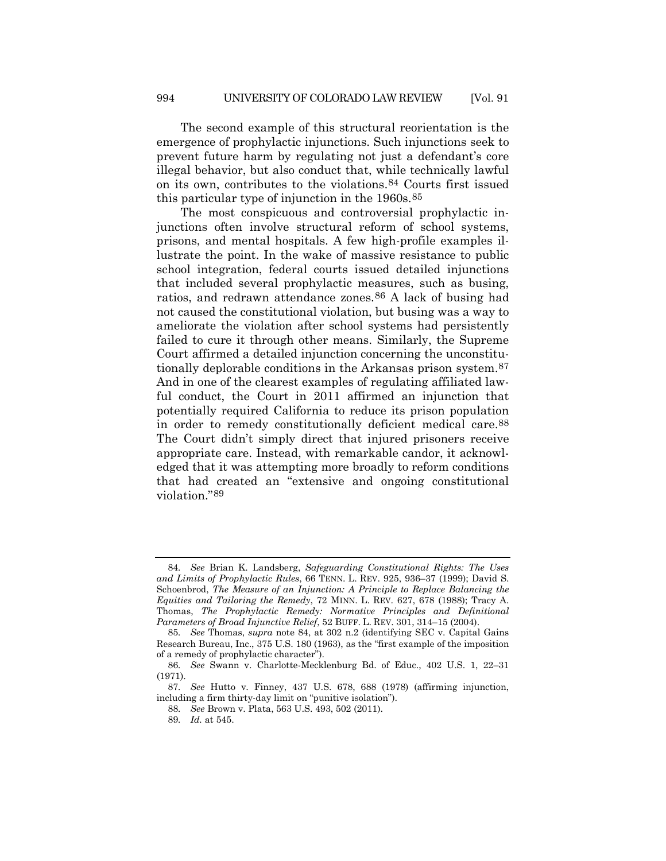The second example of this structural reorientation is the emergence of prophylactic injunctions. Such injunctions seek to prevent future harm by regulating not just a defendant's core illegal behavior, but also conduct that, while technically lawful on its own, contributes to the violations.[84](#page-17-1) Courts first issued this particular type of injunction in the 1960s.[85](#page-17-2)

<span id="page-17-0"></span>The most conspicuous and controversial prophylactic injunctions often involve structural reform of school systems, prisons, and mental hospitals. A few high-profile examples illustrate the point. In the wake of massive resistance to public school integration, federal courts issued detailed injunctions that included several prophylactic measures, such as busing, ratios, and redrawn attendance zones.[86](#page-17-3) A lack of busing had not caused the constitutional violation, but busing was a way to ameliorate the violation after school systems had persistently failed to cure it through other means. Similarly, the Supreme Court affirmed a detailed injunction concerning the unconstitutionally deplorable conditions in the Arkansas prison system[.87](#page-17-4) And in one of the clearest examples of regulating affiliated lawful conduct, the Court in 2011 affirmed an injunction that potentially required California to reduce its prison population in order to remedy constitutionally deficient medical care[.88](#page-17-5) The Court didn't simply direct that injured prisoners receive appropriate care. Instead, with remarkable candor, it acknowledged that it was attempting more broadly to reform conditions that had created an "extensive and ongoing constitutional violation."[89](#page-17-6)

<span id="page-17-1"></span><sup>84</sup>*. See* Brian K. Landsberg, *Safeguarding Constitutional Rights: The Uses and Limits of Prophylactic Rules*, 66 TENN. L. REV. 925, 936–37 (1999); David S. Schoenbrod, *The Measure of an Injunction: A Principle to Replace Balancing the Equities and Tailoring the Remedy*, 72 MINN. L. REV. 627, 678 (1988); Tracy A. Thomas, *The Prophylactic Remedy: Normative Principles and Definitional Parameters of Broad Injunctive Relief*, 52 BUFF. L. REV. 301, 314–15 (2004).

<span id="page-17-2"></span><sup>85</sup>*. See* Thomas, *supra* note [84,](#page-17-0) at 302 n.2 (identifying SEC v. Capital Gains Research Bureau, Inc., 375 U.S. 180 (1963), as the "first example of the imposition of a remedy of prophylactic character").

<span id="page-17-3"></span><sup>86</sup>*. See* Swann v. Charlotte-Mecklenburg Bd. of Educ., 402 U.S. 1, 22–31 (1971).

<span id="page-17-6"></span><span id="page-17-5"></span><span id="page-17-4"></span><sup>87</sup>*. See* Hutto v. Finney, 437 U.S. 678, 688 (1978) (affirming injunction, including a firm thirty-day limit on "punitive isolation").

<sup>88</sup>*. See* Brown v. Plata, 563 U.S. 493, 502 (2011).

<sup>89</sup>*. Id.* at 545.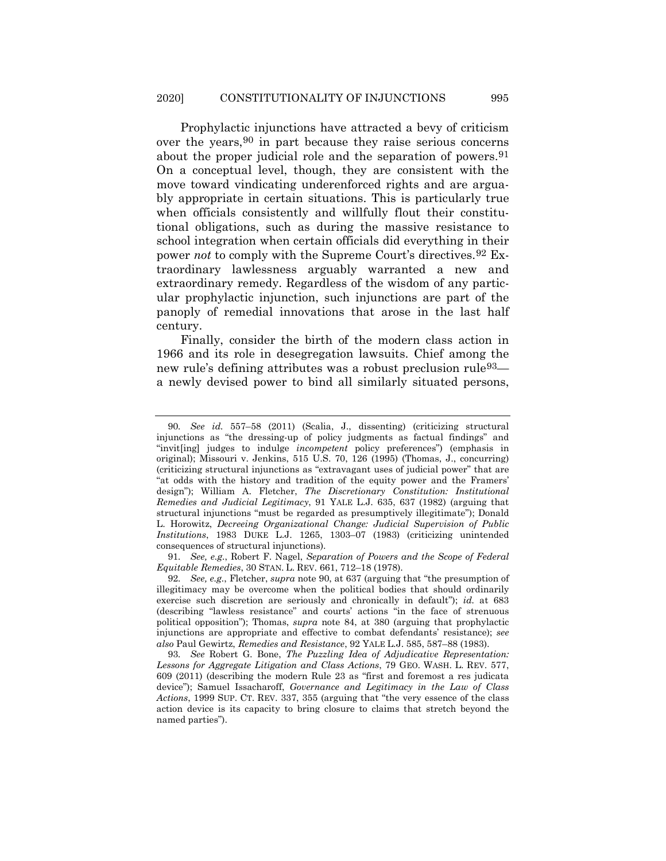<span id="page-18-0"></span>Prophylactic injunctions have attracted a bevy of criticism over the years[,90](#page-18-1) in part because they raise serious concerns about the proper judicial role and the separation of powers.<sup>91</sup> On a conceptual level, though, they are consistent with the move toward vindicating underenforced rights and are arguably appropriate in certain situations. This is particularly true when officials consistently and willfully flout their constitutional obligations, such as during the massive resistance to school integration when certain officials did everything in their power *not* to comply with the Supreme Court's directives.[92](#page-18-3) Extraordinary lawlessness arguably warranted a new and extraordinary remedy. Regardless of the wisdom of any particular prophylactic injunction, such injunctions are part of the panoply of remedial innovations that arose in the last half century.

Finally, consider the birth of the modern class action in 1966 and its role in desegregation lawsuits. Chief among the new rule's defining attributes was a robust preclusion rule<sup>93</sup> a newly devised power to bind all similarly situated persons,

<span id="page-18-2"></span>91*. See, e.g.*, Robert F. Nagel, *Separation of Powers and the Scope of Federal Equitable Remedies*, 30 STAN. L. REV. 661, 712–18 (1978).

<span id="page-18-1"></span><sup>90</sup>*. See id.* 557–58 (2011) (Scalia, J., dissenting) (criticizing structural injunctions as "the dressing-up of policy judgments as factual findings" and "invit[ing] judges to indulge *incompetent* policy preferences") (emphasis in original); Missouri v. Jenkins, 515 U.S. 70, 126 (1995) (Thomas, J., concurring) (criticizing structural injunctions as "extravagant uses of judicial power" that are "at odds with the history and tradition of the equity power and the Framers' design"); William A. Fletcher, *The Discretionary Constitution: Institutional Remedies and Judicial Legitimacy*, 91 YALE L.J. 635, 637 (1982) (arguing that structural injunctions "must be regarded as presumptively illegitimate"); Donald L. Horowitz, *Decreeing Organizational Change: Judicial Supervision of Public Institutions*, 1983 DUKE L.J. 1265, 1303–07 (1983) (criticizing unintended consequences of structural injunctions).

<span id="page-18-3"></span><sup>92</sup>*. See, e.g.*, Fletcher, *supra* note [90,](#page-18-0) at 637 (arguing that "the presumption of illegitimacy may be overcome when the political bodies that should ordinarily exercise such discretion are seriously and chronically in default"); *id.* at 683 (describing "lawless resistance" and courts' actions "in the face of strenuous political opposition"); Thomas, *supra* note [84,](#page-17-0) at 380 (arguing that prophylactic injunctions are appropriate and effective to combat defendants' resistance); *see also* Paul Gewirtz, *Remedies and Resistance*, 92 YALE L.J. 585, 587–88 (1983).

<span id="page-18-4"></span><sup>93</sup>*. See* Robert G. Bone, *The Puzzling Idea of Adjudicative Representation: Lessons for Aggregate Litigation and Class Actions*, 79 GEO. WASH. L. REV. 577, 609 (2011) (describing the modern Rule 23 as "first and foremost a res judicata device"); Samuel Issacharoff, *Governance and Legitimacy in the Law of Class Actions*, 1999 SUP. CT. REV. 337, 355 (arguing that "the very essence of the class action device is its capacity to bring closure to claims that stretch beyond the named parties").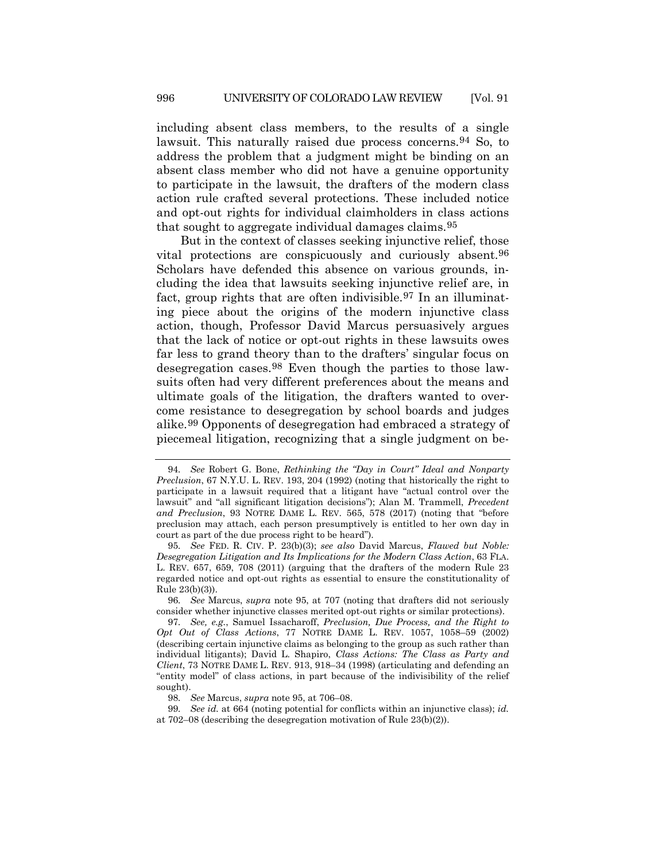including absent class members, to the results of a single lawsuit. This naturally raised due process concerns.<sup>[94](#page-19-1)</sup> So, to address the problem that a judgment might be binding on an absent class member who did not have a genuine opportunity to participate in the lawsuit, the drafters of the modern class action rule crafted several protections. These included notice and opt-out rights for individual claimholders in class actions that sought to aggregate individual damages claims.[95](#page-19-2)

<span id="page-19-0"></span>But in the context of classes seeking injunctive relief, those vital protections are conspicuously and curiously absent[.96](#page-19-3) Scholars have defended this absence on various grounds, including the idea that lawsuits seeking injunctive relief are, in fact, group rights that are often indivisible.<sup>[97](#page-19-4)</sup> In an illuminating piece about the origins of the modern injunctive class action, though, Professor David Marcus persuasively argues that the lack of notice or opt-out rights in these lawsuits owes far less to grand theory than to the drafters' singular focus on desegregation cases.[98](#page-19-5) Even though the parties to those lawsuits often had very different preferences about the means and ultimate goals of the litigation, the drafters wanted to overcome resistance to desegregation by school boards and judges alike.[99](#page-19-6) Opponents of desegregation had embraced a strategy of piecemeal litigation, recognizing that a single judgment on be-

<span id="page-19-3"></span>96*. See* Marcus, *supra* note [95,](#page-19-0) at 707 (noting that drafters did not seriously consider whether injunctive classes merited opt-out rights or similar protections).

<span id="page-19-1"></span><sup>94</sup>*. See* Robert G. Bone, *Rethinking the "Day in Court" Ideal and Nonparty Preclusion*, 67 N.Y.U. L. REV. 193, 204 (1992) (noting that historically the right to participate in a lawsuit required that a litigant have "actual control over the lawsuit" and "all significant litigation decisions"); Alan M. Trammell, *Precedent and Preclusion*, 93 NOTRE DAME L. REV. 565, 578 (2017) (noting that "before preclusion may attach, each person presumptively is entitled to her own day in court as part of the due process right to be heard").

<span id="page-19-2"></span><sup>95</sup>*. See* FED. R. CIV. P. 23(b)(3); *see also* David Marcus, *Flawed but Noble: Desegregation Litigation and Its Implications for the Modern Class Action*, 63 FLA. L. REV. 657, 659, 708 (2011) (arguing that the drafters of the modern Rule 23 regarded notice and opt-out rights as essential to ensure the constitutionality of Rule 23(b)(3)).

<span id="page-19-4"></span><sup>97</sup>*. See, e.g.*, Samuel Issacharoff, *Preclusion, Due Process, and the Right to Opt Out of Class Actions*, 77 NOTRE DAME L. REV. 1057, 1058–59 (2002) (describing certain injunctive claims as belonging to the group as such rather than individual litigants); David L. Shapiro, *Class Actions: The Class as Party and Client*, 73 NOTRE DAME L. REV. 913, 918–34 (1998) (articulating and defending an "entity model" of class actions, in part because of the indivisibility of the relief sought).

<sup>98</sup>*. See* Marcus, *supra* note [95,](#page-19-0) at 706–08.

<span id="page-19-6"></span><span id="page-19-5"></span><sup>99</sup>*. See id.* at 664 (noting potential for conflicts within an injunctive class); *id.* at 702–08 (describing the desegregation motivation of Rule 23(b)(2)).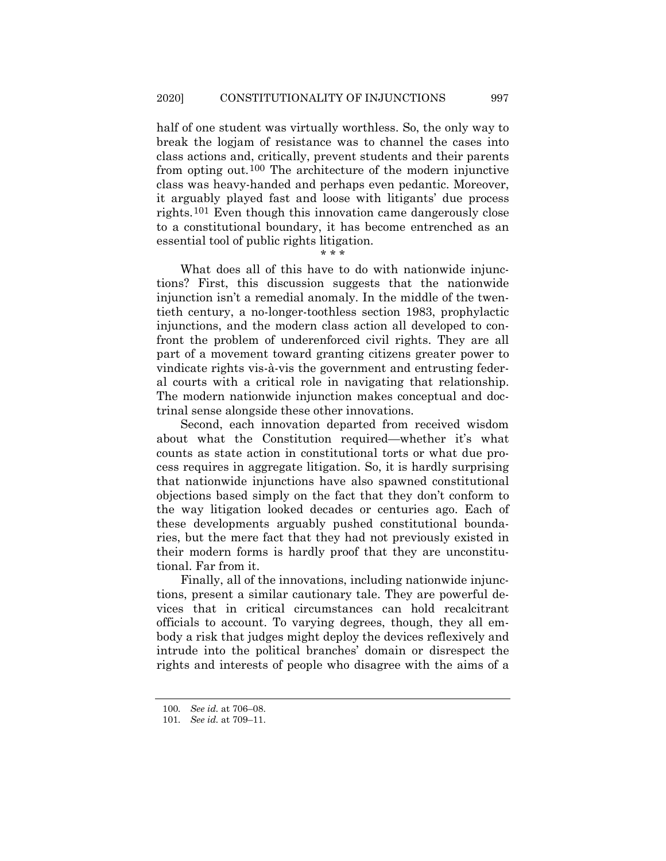half of one student was virtually worthless. So, the only way to break the logjam of resistance was to channel the cases into class actions and, critically, prevent students and their parents from opting out.[100](#page-20-0) The architecture of the modern injunctive class was heavy-handed and perhaps even pedantic. Moreover, it arguably played fast and loose with litigants' due process rights.[101](#page-20-1) Even though this innovation came dangerously close to a constitutional boundary, it has become entrenched as an essential tool of public rights litigation.

\* \* \*

What does all of this have to do with nationwide injunctions? First, this discussion suggests that the nationwide injunction isn't a remedial anomaly. In the middle of the twentieth century, a no-longer-toothless section 1983, prophylactic injunctions, and the modern class action all developed to confront the problem of underenforced civil rights. They are all part of a movement toward granting citizens greater power to vindicate rights vis-à-vis the government and entrusting federal courts with a critical role in navigating that relationship. The modern nationwide injunction makes conceptual and doctrinal sense alongside these other innovations.

Second, each innovation departed from received wisdom about what the Constitution required—whether it's what counts as state action in constitutional torts or what due process requires in aggregate litigation. So, it is hardly surprising that nationwide injunctions have also spawned constitutional objections based simply on the fact that they don't conform to the way litigation looked decades or centuries ago. Each of these developments arguably pushed constitutional boundaries, but the mere fact that they had not previously existed in their modern forms is hardly proof that they are unconstitutional. Far from it.

Finally, all of the innovations, including nationwide injunctions, present a similar cautionary tale. They are powerful devices that in critical circumstances can hold recalcitrant officials to account. To varying degrees, though, they all embody a risk that judges might deploy the devices reflexively and intrude into the political branches' domain or disrespect the rights and interests of people who disagree with the aims of a

<sup>100</sup>*. See id.* at 706–08.

<span id="page-20-1"></span><span id="page-20-0"></span><sup>101</sup>*. See id.* at 709–11.